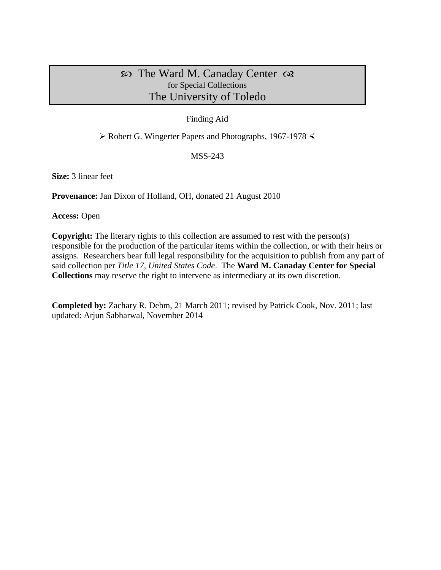## $\infty$  The Ward M. Canaday Center  $\infty$ for Special Collections The University of Toledo

#### Finding Aid

 $\triangleright$  Robert G. Wingerter Papers and Photographs, 1967-1978  $\triangleleft$ 

MSS-243

**Size:** 3 linear feet

**Provenance:** Jan Dixon of Holland, OH, donated 21 August 2010

**Access:** Open

**Copyright:** The literary rights to this collection are assumed to rest with the person(s) responsible for the production of the particular items within the collection, or with their heirs or assigns. Researchers bear full legal responsibility for the acquisition to publish from any part of said collection per *Title 17, United States Code*. The **Ward M. Canaday Center for Special Collections** may reserve the right to intervene as intermediary at its own discretion.

**Completed by:** Zachary R. Dehm, 21 March 2011; revised by Patrick Cook, Nov. 2011; last updated: Arjun Sabharwal, November 2014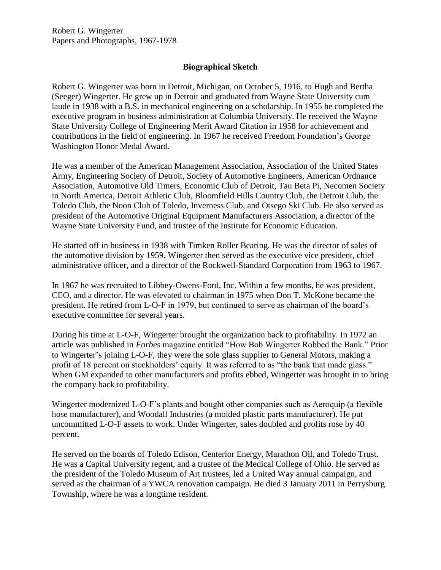### **Biographical Sketch**

Robert G. Wingerter was born in Detroit, Michigan, on October 5, 1916, to Hugh and Bertha (Seeger) Wingerter. He grew up in Detroit and graduated from Wayne State University cum laude in 1938 with a B.S. in mechanical engineering on a scholarship. In 1955 he completed the executive program in business administration at Columbia University. He received the Wayne State University College of Engineering Merit Award Citation in 1958 for achievement and contributions in the field of engineering. In 1967 he received Freedom Foundation's George Washington Honor Medal Award.

He was a member of the American Management Association, Association of the United States Army, Engineering Society of Detroit, Society of Automotive Engineers, American Ordnance Association, Automotive Old Timers, Economic Club of Detroit, Tau Beta Pi, Necomen Society in North America, Detroit Athletic Club, Bloomfield Hills Country Club, the Detroit Club, the Toledo Club, the Noon Club of Toledo, Inverness Club, and Otsego Ski Club. He also served as president of the Automotive Original Equipment Manufacturers Association, a director of the Wayne State University Fund, and trustee of the Institute for Economic Education.

He started off in business in 1938 with Timken Roller Bearing. He was the director of sales of the automotive division by 1959. Wingerter then served as the executive vice president, chief administrative officer, and a director of the Rockwell-Standard Corporation from 1963 to 1967.

In 1967 he was recruited to Libbey-Owens-Ford, Inc. Within a few months, he was president, CEO, and a director. He was elevated to chairman in 1975 when Don T. McKone became the president. He retired from L-O-F in 1979, but continued to serve as chairman of the board's executive committee for several years.

During his time at L-O-F, Wingerter brought the organization back to profitability. In 1972 an article was published in *Forbes* magazine entitled "How Bob Wingerter Robbed the Bank." Prior to Wingerter's joining L-O-F, they were the sole glass supplier to General Motors, making a profit of 18 percent on stockholders' equity. It was referred to as "the bank that made glass." When GM expanded to other manufacturers and profits ebbed, Wingerter was brought in to bring the company back to profitability.

Wingerter modernized L-O-F's plants and bought other companies such as Aeroquip (a flexible hose manufacturer), and Woodall Industries (a molded plastic parts manufacturer). He put uncommitted L-O-F assets to work. Under Wingerter, sales doubled and profits rose by 40 percent.

He served on the boards of Toledo Edison, Centerior Energy, Marathon Oil, and Toledo Trust. He was a Capital University regent, and a trustee of the Medical College of Ohio. He served as the president of the Toledo Museum of Art trustees, led a United Way annual campaign, and served as the chairman of a YWCA renovation campaign. He died 3 January 2011 in Perrysburg Township, where he was a longtime resident.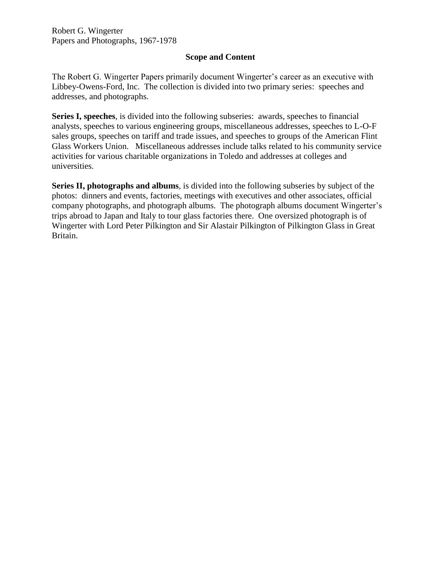#### **Scope and Content**

The Robert G. Wingerter Papers primarily document Wingerter's career as an executive with Libbey-Owens-Ford, Inc. The collection is divided into two primary series: speeches and addresses, and photographs.

**Series I, speeches**, is divided into the following subseries: awards, speeches to financial analysts, speeches to various engineering groups, miscellaneous addresses, speeches to L-O-F sales groups, speeches on tariff and trade issues, and speeches to groups of the American Flint Glass Workers Union. Miscellaneous addresses include talks related to his community service activities for various charitable organizations in Toledo and addresses at colleges and universities.

**Series II, photographs and albums**, is divided into the following subseries by subject of the photos: dinners and events, factories, meetings with executives and other associates, official company photographs, and photograph albums. The photograph albums document Wingerter's trips abroad to Japan and Italy to tour glass factories there. One oversized photograph is of Wingerter with Lord Peter Pilkington and Sir Alastair Pilkington of Pilkington Glass in Great Britain.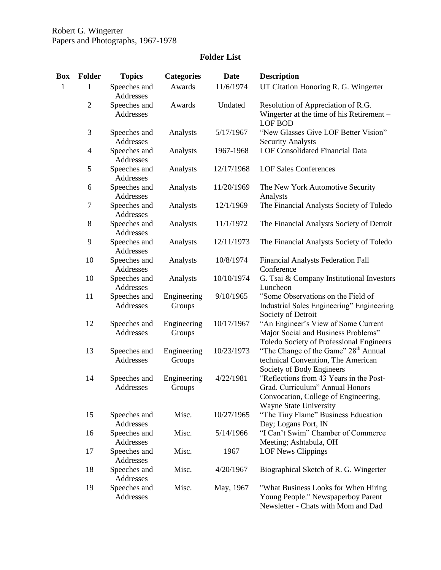# **Folder List**

| Box          | <b>Folder</b>  | <b>Topics</b>             | <b>Categories</b>     | <b>Date</b> | <b>Description</b>                                                                                                                                  |
|--------------|----------------|---------------------------|-----------------------|-------------|-----------------------------------------------------------------------------------------------------------------------------------------------------|
| $\mathbf{1}$ | 1              | Speeches and<br>Addresses | Awards                | 11/6/1974   | UT Citation Honoring R. G. Wingerter                                                                                                                |
|              | $\sqrt{2}$     | Speeches and<br>Addresses | Awards                | Undated     | Resolution of Appreciation of R.G.<br>Wingerter at the time of his Retirement -<br><b>LOF BOD</b>                                                   |
|              | 3              | Speeches and<br>Addresses | Analysts              | 5/17/1967   | "New Glasses Give LOF Better Vision"<br><b>Security Analysts</b>                                                                                    |
|              | $\overline{4}$ | Speeches and<br>Addresses | Analysts              | 1967-1968   | LOF Consolidated Financial Data                                                                                                                     |
|              | 5              | Speeches and<br>Addresses | Analysts              | 12/17/1968  | <b>LOF Sales Conferences</b>                                                                                                                        |
|              | 6              | Speeches and<br>Addresses | Analysts              | 11/20/1969  | The New York Automotive Security<br>Analysts                                                                                                        |
|              | $\tau$         | Speeches and<br>Addresses | Analysts              | 12/1/1969   | The Financial Analysts Society of Toledo                                                                                                            |
|              | 8              | Speeches and<br>Addresses | Analysts              | 11/1/1972   | The Financial Analysts Society of Detroit                                                                                                           |
|              | 9              | Speeches and<br>Addresses | Analysts              | 12/11/1973  | The Financial Analysts Society of Toledo                                                                                                            |
|              | 10             | Speeches and<br>Addresses | Analysts              | 10/8/1974   | <b>Financial Analysts Federation Fall</b><br>Conference                                                                                             |
|              | 10             | Speeches and<br>Addresses | Analysts              | 10/10/1974  | G. Tsai & Company Institutional Investors<br>Luncheon                                                                                               |
|              | 11             | Speeches and<br>Addresses | Engineering<br>Groups | 9/10/1965   | "Some Observations on the Field of<br>Industrial Sales Engineering" Engineering<br>Society of Detroit                                               |
|              | 12             | Speeches and<br>Addresses | Engineering<br>Groups | 10/17/1967  | "An Engineer's View of Some Current<br>Major Social and Business Problems"<br>Toledo Society of Professional Engineers                              |
|              | 13             | Speeches and<br>Addresses | Engineering<br>Groups | 10/23/1973  | "The Change of the Game" 28 <sup>th</sup> Annual<br>technical Convention, The American<br>Society of Body Engineers                                 |
|              | 14             | Speeches and<br>Addresses | Engineering<br>Groups | 4/22/1981   | "Reflections from 43 Years in the Post-<br>Grad. Curriculum" Annual Honors<br>Convocation, College of Engineering,<br><b>Wayne State University</b> |
|              | 15             | Speeches and<br>Addresses | Misc.                 | 10/27/1965  | "The Tiny Flame" Business Education<br>Day; Logans Port, IN                                                                                         |
|              | 16             | Speeches and<br>Addresses | Misc.                 | 5/14/1966   | "I Can't Swim" Chamber of Commerce<br>Meeting; Ashtabula, OH                                                                                        |
|              | 17             | Speeches and<br>Addresses | Misc.                 | 1967        | <b>LOF News Clippings</b>                                                                                                                           |
|              | 18             | Speeches and<br>Addresses | Misc.                 | 4/20/1967   | Biographical Sketch of R. G. Wingerter                                                                                                              |
|              | 19             | Speeches and<br>Addresses | Misc.                 | May, 1967   | "What Business Looks for When Hiring<br>Young People." Newspaperboy Parent<br>Newsletter - Chats with Mom and Dad                                   |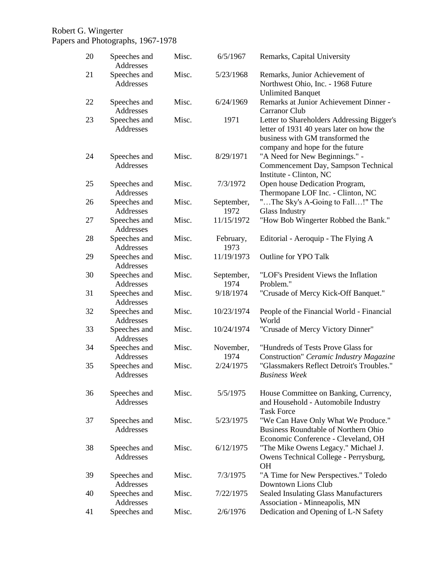#### Robert G. Wingerter

Papers and Photographs, 1967-1978

| 20 | Speeches and<br>Addresses | Misc. | 6/5/1967           | Remarks, Capital University                                                                                                                                   |
|----|---------------------------|-------|--------------------|---------------------------------------------------------------------------------------------------------------------------------------------------------------|
| 21 | Speeches and<br>Addresses | Misc. | 5/23/1968          | Remarks, Junior Achievement of<br>Northwest Ohio, Inc. - 1968 Future<br><b>Unlimited Banquet</b>                                                              |
| 22 | Speeches and<br>Addresses | Misc. | 6/24/1969          | Remarks at Junior Achievement Dinner -<br>Carranor Club                                                                                                       |
| 23 | Speeches and<br>Addresses | Misc. | 1971               | Letter to Shareholders Addressing Bigger's<br>letter of 1931 40 years later on how the<br>business with GM transformed the<br>company and hope for the future |
| 24 | Speeches and<br>Addresses | Misc. | 8/29/1971          | "A Need for New Beginnings." -<br>Commencement Day, Sampson Technical<br>Institute - Clinton, NC                                                              |
| 25 | Speeches and<br>Addresses | Misc. | 7/3/1972           | Open house Dedication Program,<br>Thermopane LOF Inc. - Clinton, NC                                                                                           |
| 26 | Speeches and<br>Addresses | Misc. | September,<br>1972 | "The Sky's A-Going to Fall!" The<br><b>Glass Industry</b>                                                                                                     |
| 27 | Speeches and<br>Addresses | Misc. | 11/15/1972         | "How Bob Wingerter Robbed the Bank."                                                                                                                          |
| 28 | Speeches and<br>Addresses | Misc. | February,<br>1973  | Editorial - Aeroquip - The Flying A                                                                                                                           |
| 29 | Speeches and<br>Addresses | Misc. | 11/19/1973         | <b>Outline for YPO Talk</b>                                                                                                                                   |
| 30 | Speeches and<br>Addresses | Misc. | September,<br>1974 | "LOF's President Views the Inflation<br>Problem."                                                                                                             |
| 31 | Speeches and<br>Addresses | Misc. | 9/18/1974          | "Crusade of Mercy Kick-Off Banquet."                                                                                                                          |
| 32 | Speeches and<br>Addresses | Misc. | 10/23/1974         | People of the Financial World - Financial<br>World                                                                                                            |
| 33 | Speeches and<br>Addresses | Misc. | 10/24/1974         | "Crusade of Mercy Victory Dinner"                                                                                                                             |
| 34 | Speeches and<br>Addresses | Misc. | November,<br>1974  | "Hundreds of Tests Prove Glass for<br>Construction" Ceramic Industry Magazine                                                                                 |
| 35 | Speeches and<br>Addresses | Misc. | 2/24/1975          | "Glassmakers Reflect Detroit's Troubles."<br><b>Business Week</b>                                                                                             |
| 36 | Speeches and<br>Addresses | Misc. | 5/5/1975           | House Committee on Banking, Currency,<br>and Household - Automobile Industry<br><b>Task Force</b>                                                             |
| 37 | Speeches and<br>Addresses | Misc. | 5/23/1975          | "We Can Have Only What We Produce."<br>Business Roundtable of Northern Ohio<br>Economic Conference - Cleveland, OH                                            |
| 38 | Speeches and<br>Addresses | Misc. | 6/12/1975          | "The Mike Owens Legacy." Michael J.<br>Owens Technical College - Perrysburg,<br><b>OH</b>                                                                     |
| 39 | Speeches and<br>Addresses | Misc. | 7/3/1975           | "A Time for New Perspectives." Toledo<br>Downtown Lions Club                                                                                                  |
| 40 | Speeches and<br>Addresses | Misc. | 7/22/1975          | <b>Sealed Insulating Glass Manufacturers</b><br>Association - Minneapolis, MN                                                                                 |
| 41 | Speeches and              | Misc. | 2/6/1976           | Dedication and Opening of L-N Safety                                                                                                                          |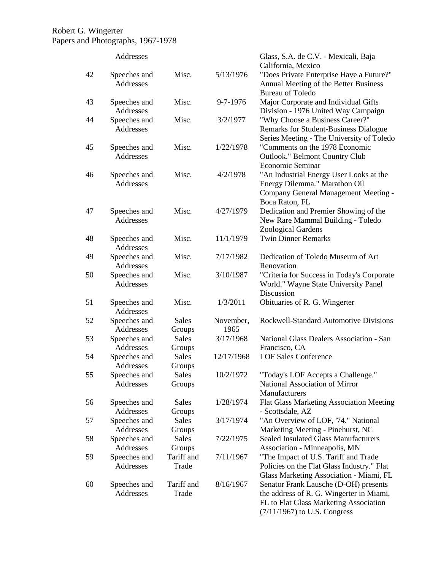|    | Addresses                 |                        |                   | Glass, S.A. de C.V. - Mexicali, Baja<br>California, Mexico                                                                                                    |
|----|---------------------------|------------------------|-------------------|---------------------------------------------------------------------------------------------------------------------------------------------------------------|
| 42 | Speeches and<br>Addresses | Misc.                  | 5/13/1976         | "Does Private Enterprise Have a Future?"<br>Annual Meeting of the Better Business<br><b>Bureau of Toledo</b>                                                  |
| 43 | Speeches and<br>Addresses | Misc.                  | 9-7-1976          | Major Corporate and Individual Gifts<br>Division - 1976 United Way Campaign                                                                                   |
| 44 | Speeches and<br>Addresses | Misc.                  | 3/2/1977          | "Why Choose a Business Career?"<br>Remarks for Student-Business Dialogue<br>Series Meeting - The University of Toledo                                         |
| 45 | Speeches and<br>Addresses | Misc.                  | 1/22/1978         | "Comments on the 1978 Economic<br>Outlook." Belmont Country Club<br>Economic Seminar                                                                          |
| 46 | Speeches and<br>Addresses | Misc.                  | 4/2/1978          | "An Industrial Energy User Looks at the<br>Energy Dilemma." Marathon Oil<br>Company General Management Meeting -<br>Boca Raton, FL                            |
| 47 | Speeches and<br>Addresses | Misc.                  | 4/27/1979         | Dedication and Premier Showing of the<br>New Rare Mammal Building - Toledo<br>Zoological Gardens                                                              |
| 48 | Speeches and<br>Addresses | Misc.                  | 11/1/1979         | <b>Twin Dinner Remarks</b>                                                                                                                                    |
| 49 | Speeches and<br>Addresses | Misc.                  | 7/17/1982         | Dedication of Toledo Museum of Art<br>Renovation                                                                                                              |
| 50 | Speeches and<br>Addresses | Misc.                  | 3/10/1987         | "Criteria for Success in Today's Corporate<br>World." Wayne State University Panel<br>Discussion                                                              |
| 51 | Speeches and<br>Addresses | Misc.                  | 1/3/2011          | Obituaries of R. G. Wingerter                                                                                                                                 |
| 52 | Speeches and<br>Addresses | <b>Sales</b><br>Groups | November,<br>1965 | <b>Rockwell-Standard Automotive Divisions</b>                                                                                                                 |
| 53 | Speeches and<br>Addresses | <b>Sales</b><br>Groups | 3/17/1968         | National Glass Dealers Association - San<br>Francisco, CA                                                                                                     |
| 54 | Speeches and<br>Addresses | <b>Sales</b><br>Groups | 12/17/1968        | <b>LOF Sales Conference</b>                                                                                                                                   |
| 55 | Speeches and<br>Addresses | Sales<br>Groups        | 10/2/1972         | "Today's LOF Accepts a Challenge."<br>National Association of Mirror<br>Manufacturers                                                                         |
| 56 | Speeches and<br>Addresses | Sales<br>Groups        | 1/28/1974         | Flat Glass Marketing Association Meeting<br>- Scottsdale, AZ                                                                                                  |
| 57 | Speeches and<br>Addresses | <b>Sales</b><br>Groups | 3/17/1974         | "An Overview of LOF, '74." National<br>Marketing Meeting - Pinehurst, NC                                                                                      |
| 58 | Speeches and<br>Addresses | Sales<br>Groups        | 7/22/1975         | <b>Sealed Insulated Glass Manufacturers</b><br>Association - Minneapolis, MN                                                                                  |
| 59 | Speeches and<br>Addresses | Tariff and<br>Trade    | 7/11/1967         | "The Impact of U.S. Tariff and Trade<br>Policies on the Flat Glass Industry." Flat<br>Glass Marketing Association - Miami, FL                                 |
| 60 | Speeches and<br>Addresses | Tariff and<br>Trade    | 8/16/1967         | Senator Frank Lausche (D-OH) presents<br>the address of R. G. Wingerter in Miami,<br>FL to Flat Glass Marketing Association<br>$(7/11/1967)$ to U.S. Congress |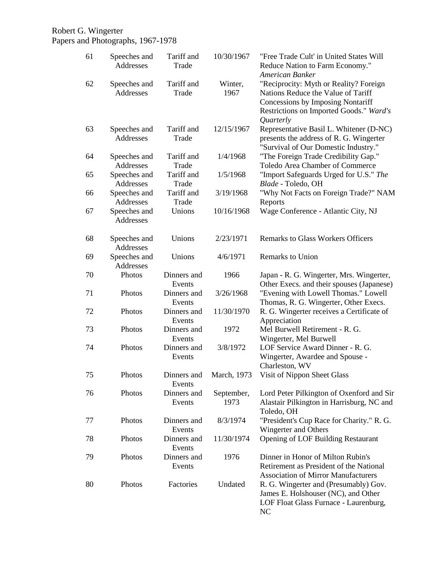| 61 | Speeches and<br>Addresses | Tariff and<br>Trade   | 10/30/1967              | "Free Trade Cult' in United States Will<br>Reduce Nation to Farm Economy."<br>American Banker                                                                             |
|----|---------------------------|-----------------------|-------------------------|---------------------------------------------------------------------------------------------------------------------------------------------------------------------------|
| 62 | Speeches and<br>Addresses | Tariff and<br>Trade   | Winter,<br>1967         | "Reciprocity: Myth or Reality? Foreign<br>Nations Reduce the Value of Tariff<br>Concessions by Imposing Nontariff<br>Restrictions on Imported Goods." Ward's<br>Quarterly |
| 63 | Speeches and<br>Addresses | Tariff and<br>Trade   | 12/15/1967              | Representative Basil L. Whitener (D-NC)<br>presents the address of R. G. Wingerter<br>"Survival of Our Domestic Industry."                                                |
| 64 | Speeches and<br>Addresses | Tariff and<br>Trade   | 1/4/1968                | "The Foreign Trade Credibility Gap."<br>Toledo Area Chamber of Commerce                                                                                                   |
| 65 | Speeches and<br>Addresses | Tariff and<br>Trade   | 1/5/1968                | "Import Safeguards Urged for U.S." The<br>Blade - Toledo, OH                                                                                                              |
| 66 | Speeches and<br>Addresses | Tariff and<br>Trade   | 3/19/1968               | "Why Not Facts on Foreign Trade?" NAM<br>Reports                                                                                                                          |
| 67 | Speeches and<br>Addresses | Unions                | 10/16/1968              | Wage Conference - Atlantic City, NJ                                                                                                                                       |
| 68 | Speeches and<br>Addresses | Unions                | 2/23/1971               | <b>Remarks to Glass Workers Officers</b>                                                                                                                                  |
| 69 | Speeches and<br>Addresses | Unions                | 4/6/1971                | Remarks to Union                                                                                                                                                          |
| 70 | Photos                    | Dinners and<br>Events | 1966                    | Japan - R. G. Wingerter, Mrs. Wingerter,<br>Other Execs. and their spouses (Japanese)                                                                                     |
| 71 | Photos                    | Dinners and<br>Events | 3/26/1968               | "Evening with Lowell Thomas." Lowell<br>Thomas, R. G. Wingerter, Other Execs.                                                                                             |
| 72 | Photos                    | Dinners and<br>Events | 11/30/1970              | R. G. Wingerter receives a Certificate of<br>Appreciation                                                                                                                 |
| 73 | Photos                    | Dinners and<br>Events | 1972                    | Mel Burwell Retirement - R. G.<br>Wingerter, Mel Burwell                                                                                                                  |
| 74 | Photos                    | Dinners and<br>Events | 3/8/1972                | LOF Service Award Dinner - R. G.<br>Wingerter, Awardee and Spouse -<br>Charleston, WV                                                                                     |
| 75 | Photos                    | Events                | Dinners and March, 1973 | Visit of Nippon Sheet Glass                                                                                                                                               |
| 76 | Photos                    | Dinners and<br>Events | September,<br>1973      | Lord Peter Pilkington of Oxenford and Sir<br>Alastair Pilkington in Harrisburg, NC and<br>Toledo, OH                                                                      |
| 77 | Photos                    | Dinners and<br>Events | 8/3/1974                | "President's Cup Race for Charity." R. G.<br>Wingerter and Others                                                                                                         |
| 78 | Photos                    | Dinners and<br>Events | 11/30/1974              | <b>Opening of LOF Building Restaurant</b>                                                                                                                                 |
| 79 | Photos                    | Dinners and<br>Events | 1976                    | Dinner in Honor of Milton Rubin's<br>Retirement as President of the National<br><b>Association of Mirror Manufacturers</b>                                                |
| 80 | Photos                    | Factories             | Undated                 | R. G. Wingerter and (Presumably) Gov.<br>James E. Holshouser (NC), and Other<br>LOF Float Glass Furnace - Laurenburg,<br>NC                                               |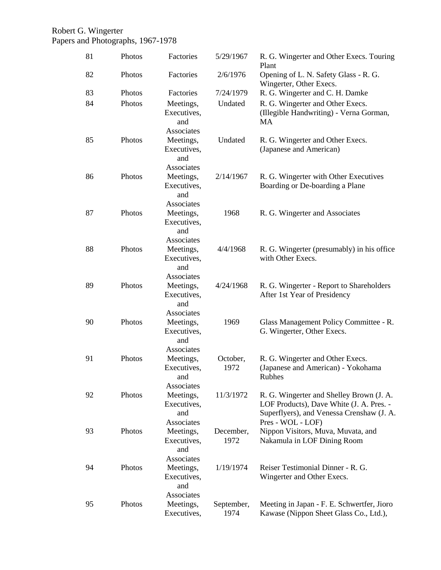| 81 | Photos | Factories                                     | 5/29/1967          | R. G. Wingerter and Other Execs. Touring<br>Plant                                                                                                      |
|----|--------|-----------------------------------------------|--------------------|--------------------------------------------------------------------------------------------------------------------------------------------------------|
| 82 | Photos | Factories                                     | 2/6/1976           | Opening of L. N. Safety Glass - R. G.<br>Wingerter, Other Execs.                                                                                       |
| 83 | Photos | Factories                                     | 7/24/1979          | R. G. Wingerter and C. H. Damke                                                                                                                        |
| 84 | Photos | Meetings,<br>Executives,<br>and<br>Associates | Undated            | R. G. Wingerter and Other Execs.<br>(Illegible Handwriting) - Verna Gorman,<br><b>MA</b>                                                               |
| 85 | Photos | Meetings,<br>Executives,<br>and<br>Associates | Undated            | R. G. Wingerter and Other Execs.<br>(Japanese and American)                                                                                            |
| 86 | Photos | Meetings,<br>Executives,<br>and<br>Associates | 2/14/1967          | R. G. Wingerter with Other Executives<br>Boarding or De-boarding a Plane                                                                               |
| 87 | Photos | Meetings,<br>Executives,<br>and<br>Associates | 1968               | R. G. Wingerter and Associates                                                                                                                         |
| 88 | Photos | Meetings,<br>Executives,<br>and<br>Associates | 4/4/1968           | R. G. Wingerter (presumably) in his office<br>with Other Execs.                                                                                        |
| 89 | Photos | Meetings,<br>Executives,<br>and<br>Associates | 4/24/1968          | R. G. Wingerter - Report to Shareholders<br>After 1st Year of Presidency                                                                               |
| 90 | Photos | Meetings,<br>Executives,<br>and<br>Associates | 1969               | Glass Management Policy Committee - R.<br>G. Wingerter, Other Execs.                                                                                   |
| 91 | Photos | Meetings,<br>Executives,<br>and<br>Associates | October,<br>1972   | R. G. Wingerter and Other Execs.<br>(Japanese and American) - Yokohama<br>Rubhes                                                                       |
| 92 | Photos | Meetings,<br>Executives,<br>and<br>Associates | 11/3/1972          | R. G. Wingerter and Shelley Brown (J. A.<br>LOF Products), Dave White (J. A. Pres. -<br>Superflyers), and Venessa Crenshaw (J. A.<br>Pres - WOL - LOF) |
| 93 | Photos | Meetings,<br>Executives,<br>and<br>Associates | December,<br>1972  | Nippon Visitors, Muva, Muvata, and<br>Nakamula in LOF Dining Room                                                                                      |
| 94 | Photos | Meetings,<br>Executives,<br>and<br>Associates | 1/19/1974          | Reiser Testimonial Dinner - R. G.<br>Wingerter and Other Execs.                                                                                        |
| 95 | Photos | Meetings,<br>Executives,                      | September,<br>1974 | Meeting in Japan - F. E. Schwertfer, Jioro<br>Kawase (Nippon Sheet Glass Co., Ltd.),                                                                   |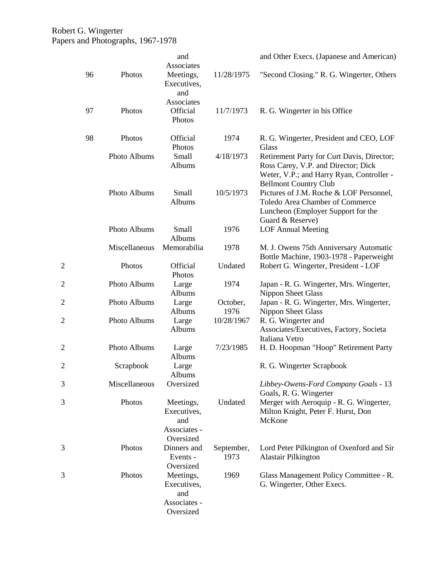|                |               | and<br>Associates                                            |                    | and Other Execs. (Japanese and American)                                                                                                                       |
|----------------|---------------|--------------------------------------------------------------|--------------------|----------------------------------------------------------------------------------------------------------------------------------------------------------------|
| 96             | Photos        | Meetings,<br>Executives,<br>and                              | 11/28/1975         | "Second Closing." R. G. Wingerter, Others                                                                                                                      |
| 97             | Photos        | Associates<br>Official<br>Photos                             | 11/7/1973          | R. G. Wingerter in his Office                                                                                                                                  |
| 98             | Photos        | Official<br>Photos                                           | 1974               | R. G. Wingerter, President and CEO, LOF<br>Glass                                                                                                               |
|                | Photo Albums  | Small<br>Albums                                              | 4/18/1973          | Retirement Party for Curt Davis, Director;<br>Ross Carey, V.P. and Director; Dick<br>Weter, V.P.; and Harry Ryan, Controller -<br><b>Bellmont Country Club</b> |
|                | Photo Albums  | Small<br>Albums                                              | 10/5/1973          | Pictures of J.M. Roche & LOF Personnel,<br>Toledo Area Chamber of Commerce<br>Luncheon (Employer Support for the<br>Guard & Reserve)                           |
|                | Photo Albums  | Small<br>Albums                                              | 1976               | <b>LOF Annual Meeting</b>                                                                                                                                      |
|                | Miscellaneous | Memorabilia                                                  | 1978               | M. J. Owens 75th Anniversary Automatic<br>Bottle Machine, 1903-1978 - Paperweight                                                                              |
|                | Photos        | Official<br>Photos                                           | Undated            | Robert G. Wingerter, President - LOF                                                                                                                           |
| $\overline{c}$ | Photo Albums  | Large<br>Albums                                              | 1974               | Japan - R. G. Wingerter, Mrs. Wingerter,<br>Nippon Sheet Glass                                                                                                 |
| $\overline{c}$ | Photo Albums  | Large<br>Albums                                              | October,<br>1976   | Japan - R. G. Wingerter, Mrs. Wingerter,<br><b>Nippon Sheet Glass</b>                                                                                          |
| $\overline{c}$ | Photo Albums  | Large<br>Albums                                              | 10/28/1967         | R. G. Wingerter and<br>Associates/Executives, Factory, Societa<br>Italiana Vetro                                                                               |
| $\overline{c}$ | Photo Albums  | Large<br>Albums                                              | 7/23/1985          | H. D. Hoopman "Hoop" Retirement Party                                                                                                                          |
| $\overline{c}$ | Scrapbook     | Large<br>Albums                                              |                    | R. G. Wingerter Scrapbook                                                                                                                                      |
| 3              | Miscellaneous | Oversized                                                    |                    | Libbey-Owens-Ford Company Goals - 13<br>Goals, R. G. Wingerter                                                                                                 |
| 3              | Photos        | Meetings,<br>Executives,<br>and<br>Associates -<br>Oversized | Undated            | Merger with Aeroquip - R. G. Wingerter,<br>Milton Knight, Peter F. Hurst, Don<br>McKone                                                                        |
| 3              | Photos        | Dinners and<br>Events -<br>Oversized                         | September,<br>1973 | Lord Peter Pilkington of Oxenford and Sir<br>Alastair Pilkington                                                                                               |
| 3              | Photos        | Meetings,<br>Executives,<br>and<br>Associates -<br>Oversized | 1969               | Glass Management Policy Committee - R.<br>G. Wingerter, Other Execs.                                                                                           |